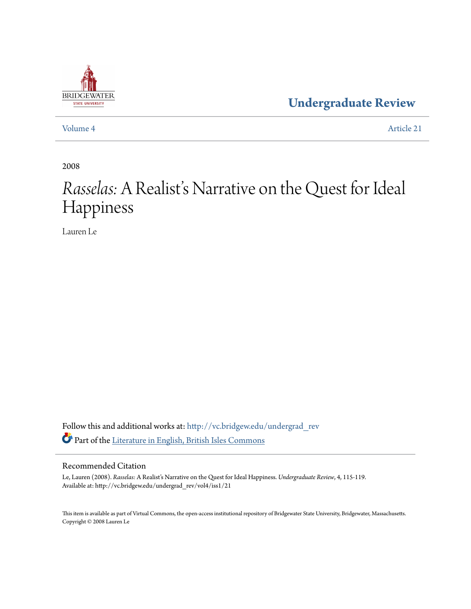

**[Undergraduate Review](http://vc.bridgew.edu/undergrad_rev?utm_source=vc.bridgew.edu%2Fundergrad_rev%2Fvol4%2Fiss1%2F21&utm_medium=PDF&utm_campaign=PDFCoverPages)**

[Volume 4](http://vc.bridgew.edu/undergrad_rev/vol4?utm_source=vc.bridgew.edu%2Fundergrad_rev%2Fvol4%2Fiss1%2F21&utm_medium=PDF&utm_campaign=PDFCoverPages) [Article 21](http://vc.bridgew.edu/undergrad_rev/vol4/iss1/21?utm_source=vc.bridgew.edu%2Fundergrad_rev%2Fvol4%2Fiss1%2F21&utm_medium=PDF&utm_campaign=PDFCoverPages)

2008

# *Rasselas:* A Realist's Narrative on the Quest for Ideal Happiness

Lauren Le

Follow this and additional works at: [http://vc.bridgew.edu/undergrad\\_rev](http://vc.bridgew.edu/undergrad_rev?utm_source=vc.bridgew.edu%2Fundergrad_rev%2Fvol4%2Fiss1%2F21&utm_medium=PDF&utm_campaign=PDFCoverPages) Part of the [Literature in English, British Isles Commons](http://network.bepress.com/hgg/discipline/456?utm_source=vc.bridgew.edu%2Fundergrad_rev%2Fvol4%2Fiss1%2F21&utm_medium=PDF&utm_campaign=PDFCoverPages)

#### Recommended Citation

Le, Lauren (2008). *Rasselas:* A Realist's Narrative on the Quest for Ideal Happiness. *Undergraduate Review*, 4, 115-119. Available at: http://vc.bridgew.edu/undergrad\_rev/vol4/iss1/21

This item is available as part of Virtual Commons, the open-access institutional repository of Bridgewater State University, Bridgewater, Massachusetts. Copyright © 2008 Lauren Le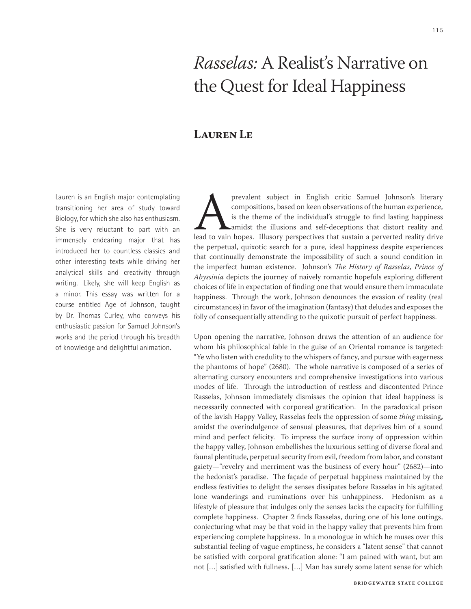## *Rasselas:* A Realist's Narrative on the Quest for Ideal Happiness

### **Lauren Le**

Lauren is an English major contemplating transitioning her area of study toward Biology, for which she also has enthusiasm. She is very reluctant to part with an immensely endearing major that has introduced her to countless classics and other interesting texts while driving her analytical skills and creativity through writing. Likely, she will keep English as a minor. This essay was written for a course entitled Age of Johnson, taught by Dr. Thomas Curley, who conveys his enthusiastic passion for Samuel Johnson's works and the period through his breadth of knowledge and delightful animation.

prevalent subject in English critic Samuel Johnson's literary<br>compositions, based on keen observations of the human experience,<br>is the theme of the individual's struggle to find lasting happiness<br>landst the illusions and s compositions, based on keen observations of the human experience, is the theme of the individual's struggle to find lasting happiness amidst the illusions and self-deceptions that distort reality and lead to vain hopes. Illusory perspectives that sustain a perverted reality drive the perpetual, quixotic search for a pure, ideal happiness despite experiences that continually demonstrate the impossibility of such a sound condition in the imperfect human existence. Johnson's *The History of Rasselas, Prince of Abyssinia* depicts the journey of naively romantic hopefuls exploring different choices of life in expectation of finding one that would ensure them immaculate happiness. Through the work, Johnson denounces the evasion of reality (real circumstances) in favor of the imagination (fantasy) that deludes and exposes the folly of consequentially attending to the quixotic pursuit of perfect happiness.

Upon opening the narrative, Johnson draws the attention of an audience for whom his philosophical fable in the guise of an Oriental romance is targeted: "Ye who listen with credulity to the whispers of fancy, and pursue with eagerness the phantoms of hope" (2680). The whole narrative is composed of a series of alternating cursory encounters and comprehensive investigations into various modes of life. Through the introduction of restless and discontented Prince Rasselas, Johnson immediately dismisses the opinion that ideal happiness is necessarily connected with corporeal gratification. In the paradoxical prison of the lavish Happy Valley, Rasselas feels the oppression of some *thing* missing**,** amidst the overindulgence of sensual pleasures, that deprives him of a sound mind and perfect felicity. To impress the surface irony of oppression within the happy valley, Johnson embellishes the luxurious setting of diverse floral and faunal plentitude, perpetual security from evil, freedom from labor, and constant gaiety—"revelry and merriment was the business of every hour" (2682)—into the hedonist's paradise. The façade of perpetual happiness maintained by the endless festivities to delight the senses dissipates before Rasselas in his agitated lone wanderings and ruminations over his unhappiness. Hedonism as a lifestyle of pleasure that indulges only the senses lacks the capacity for fulfilling complete happiness. Chapter 2 finds Rasselas, during one of his lone outings, conjecturing what may be that void in the happy valley that prevents him from experiencing complete happiness. In a monologue in which he muses over this substantial feeling of vague emptiness, he considers a "latent sense" that cannot be satisfied with corporal gratification alone: "I am pained with want, but am not […] satisfied with fullness. […] Man has surely some latent sense for which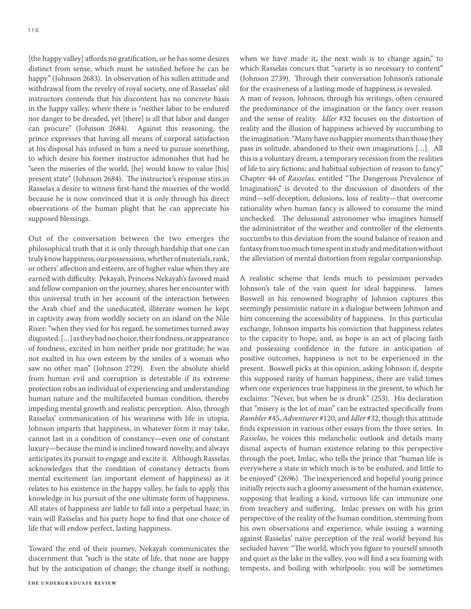[the happy valley] affords no gratification, or he has some desires distinct from sense, which must be satisfied before he can be happy" (Johnson 2683). In observation of his sullen attitude and withdrawal from the revelry of royal society, one of Rasselas' old instructors contends that his discontent has no concrete basis in the happy valley, where there is "neither labor to be endured nor danger to be dreaded, yet [there] is all that labor and danger can procure" (Johnson 2684). Against this reasoning, the prince expresses that having all means of corporal satisfaction at his disposal has infused in him a need to pursue something, to which desire his former instructor admonishes that had he "seen the miseries of the world, [he] would know to value [his] present state" (Johnson 2684). The instructor's response stirs in Rasselas a desire to witness first-hand the miseries of the world because he is now convinced that it is only through his direct observations of the human plight that he can appreciate his supposed blessings.

Out of the conversation between the two emerges the philosophical truth that it is only through hardship that one can truly know happiness; our possessions, whether of materials, rank, or others' affection and esteem, are of higher value when they are earned with difficulty. Pekayah, Princess Nekayah's favored maid and fellow companion on the journey, shares her encounter with this universal truth in her account of the interaction between the Arab chief and the uneducated, illiterate women he kept in captivity away from worldly society on an island on the Nile River: "when they vied for his regard, he sometimes turned away disgusted. […] as they had no choice, their fondness, or appearance of fondness, excited in him neither pride nor gratitude; he was not exalted in his own esteem by the smiles of a woman who saw no other man" (Johnson 2729). Even the absolute shield from human evil and corruption is detestable if its extreme protection robs an individual of experiencing and understanding human nature and the multifaceted human condition, thereby impeding mental growth and realistic perception. Also, through Rasselas' communication of his weariness with life in utopia, Johnson imparts that happiness, in whatever form it may take, cannot last in a condition of constancy—even one of constant luxury—because the mind is inclined toward novelty, and always anticipates its pursuit to engage and excite it. Although Rasselas acknowledges that the condition of constancy detracts from mental excitement (an important element of happiness) as it relates to his existence in the happy valley, he fails to apply this knowledge in his pursuit of the one ultimate form of happiness. All states of happiness are liable to fall into a perpetual haze; in vain will Rasselas and his party hope to find that one choice of life that will endow perfect, lasting happiness.

Toward the end of their journey, Nekayah communicates the discernment that "such is the state of life, that none are happy but by the anticipation of change; the change itself is nothing; when we have made it, the next wish is to change again," to which Rasselas concurs that "variety is so necessary to content" (Johnson 2739). Through their conversation Johnson's rationale for the evasiveness of a lasting mode of happiness is revealed.

A man of reason, Johnson, through his writings, often censured the predominance of the imagination or the fancy over reason and the sense of reality. *Idler* #32 focuses on the distortion of reality and the illusion of happiness achieved by succumbing to the imagination: "Many have no happier moments than those they pass in solitude, abandoned to their own imaginations […]. All this is a voluntary dream, a temporary recession from the realities of life to airy fictions; and habitual subjection of reason to fancy." Chapter 44 of *Rasselas*, entitled "The Dangerous Prevalence of Imagination," is devoted to the discussion of disorders of the mind—self-deception, delusions, loss of reality—that overcome rationality when human fancy is allowed to consume the mind unchecked. The delusional astronomer who imagines himself the administrator of the weather and controller of the elements succumbs to this deviation from the sound balance of reason and fantasy from too much time spent in study and meditation without the alleviation of mental distortion from regular companionship.

A realistic scheme that lends much to pessimism pervades Johnson's tale of the vain quest for ideal happiness. James Boswell in his renowned biography of Johnson captures this seemingly pessimistic nature in a dialogue between Johnson and him concerning the accessibility of happiness. In this particular exchange, Johnson imparts his conviction that happiness relates to the capacity to hope, and, as hope is an act of placing faith and possessing confidence in the future in anticipation of positive outcomes, happiness is not to be experienced in the present. Boswell picks at this opinion, asking Johnson if, despite this supposed rarity of human happiness, there are valid times when one experiences true happiness in the present, to which he exclaims: "Never, but when he is drunk" (253). His declaration that "misery is the lot of man" can be extracted specifically from *Rambler* #45, *Adventurer* #120, and *Idler* #32, though this attitude finds expression in various other essays from the three series. In *Rasselas*, he voices this melancholic outlook and details many dismal aspects of human existence relating to this perspective through the poet, Imlac, who tells the prince that "human life is everywhere a state in which much is to be endured, and little to be enjoyed" (2696). The inexperienced and hopeful young prince initially rejects such a gloomy assessment of the human existence, supposing that leading a kind, virtuous life can immunize one from treachery and suffering. Imlac presses on with his grim perspective of the reality of the human condition, stemming from his own observations and experience, while issuing a warning against Rasselas' naïve perception of the real world beyond his secluded haven: "The world, which you figure to yourself smooth and quiet as the lake in the valley, you will find a sea foaming with tempests, and boiling with whirlpools: you will be sometimes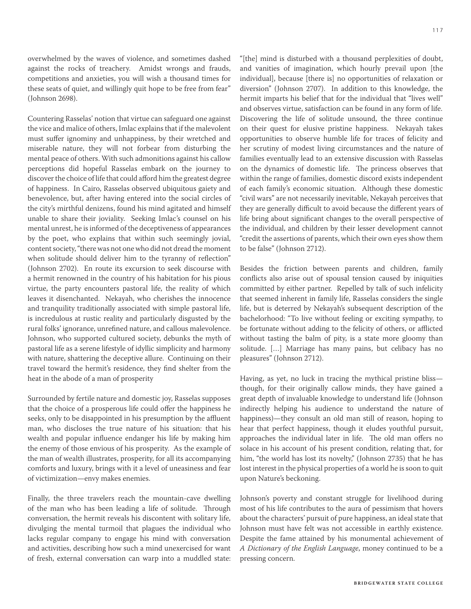overwhelmed by the waves of violence, and sometimes dashed against the rocks of treachery. Amidst wrongs and frauds, competitions and anxieties, you will wish a thousand times for these seats of quiet, and willingly quit hope to be free from fear" (Johnson 2698).

Countering Rasselas' notion that virtue can safeguard one against the vice and malice of others, Imlac explains that if the malevolent must suffer ignominy and unhappiness, by their wretched and miserable nature, they will not forbear from disturbing the mental peace of others. With such admonitions against his callow perceptions did hopeful Rasselas embark on the journey to discover the choice of life that could afford him the greatest degree of happiness. In Cairo, Rasselas observed ubiquitous gaiety and benevolence, but, after having entered into the social circles of the city's mirthful denizens, found his mind agitated and himself unable to share their joviality. Seeking Imlac's counsel on his mental unrest, he is informed of the deceptiveness of appearances by the poet, who explains that within such seemingly jovial, content society, "there was not one who did not dread the moment when solitude should deliver him to the tyranny of reflection" (Johnson 2702). En route its excursion to seek discourse with a hermit renowned in the country of his habitation for his pious virtue, the party encounters pastoral life, the reality of which leaves it disenchanted. Nekayah, who cherishes the innocence and tranquility traditionally associated with simple pastoral life, is incredulous at rustic reality and particularly disgusted by the rural folks' ignorance, unrefined nature, and callous malevolence. Johnson, who supported cultured society, debunks the myth of pastoral life as a serene lifestyle of idyllic simplicity and harmony with nature, shattering the deceptive allure. Continuing on their travel toward the hermit's residence, they find shelter from the heat in the abode of a man of prosperity

Surrounded by fertile nature and domestic joy, Rasselas supposes that the choice of a prosperous life could offer the happiness he seeks, only to be disappointed in his presumption by the affluent man, who discloses the true nature of his situation: that his wealth and popular influence endanger his life by making him the enemy of those envious of his prosperity. As the example of the man of wealth illustrates, prosperity, for all its accompanying comforts and luxury, brings with it a level of uneasiness and fear of victimization—envy makes enemies.

Finally, the three travelers reach the mountain-cave dwelling of the man who has been leading a life of solitude. Through conversation, the hermit reveals his discontent with solitary life, divulging the mental turmoil that plagues the individual who lacks regular company to engage his mind with conversation and activities, describing how such a mind unexercised for want of fresh, external conversation can warp into a muddled state: "[the] mind is disturbed with a thousand perplexities of doubt, and vanities of imagination, which hourly prevail upon [the individual], because [there is] no opportunities of relaxation or diversion" (Johnson 2707). In addition to this knowledge, the hermit imparts his belief that for the individual that "lives well" and observes virtue, satisfaction can be found in any form of life. Discovering the life of solitude unsound, the three continue on their quest for elusive pristine happiness. Nekayah takes opportunities to observe humble life for traces of felicity and her scrutiny of modest living circumstances and the nature of families eventually lead to an extensive discussion with Rasselas on the dynamics of domestic life. The princess observes that within the range of families, domestic discord exists independent of each family's economic situation. Although these domestic "civil wars" are not necessarily inevitable, Nekayah perceives that they are generally difficult to avoid because the different years of life bring about significant changes to the overall perspective of the individual, and children by their lesser development cannot "credit the assertions of parents, which their own eyes show them to be false" (Johnson 2712).

Besides the friction between parents and children, family conflicts also arise out of spousal tension caused by iniquities committed by either partner. Repelled by talk of such infelicity that seemed inherent in family life, Rasselas considers the single life, but is deterred by Nekayah's subsequent description of the bachelorhood: "To live without feeling or exciting sympathy, to be fortunate without adding to the felicity of others, or afflicted without tasting the balm of pity, is a state more gloomy than solitude. […] Marriage has many pains, but celibacy has no pleasures" (Johnson 2712).

Having, as yet, no luck in tracing the mythical pristine bliss though, for their originally callow minds, they have gained a great depth of invaluable knowledge to understand life (Johnson indirectly helping his audience to understand the nature of happiness)—they consult an old man still of reason, hoping to hear that perfect happiness, though it eludes youthful pursuit, approaches the individual later in life. The old man offers no solace in his account of his present condition, relating that, for him, "the world has lost its novelty," (Johnson 2735) that he has lost interest in the physical properties of a world he is soon to quit upon Nature's beckoning.

Johnson's poverty and constant struggle for livelihood during most of his life contributes to the aura of pessimism that hovers about the characters' pursuit of pure happiness, an ideal state that Johnson must have felt was not accessible in earthly existence. Despite the fame attained by his monumental achievement of *A Dictionary of the English Language*, money continued to be a pressing concern.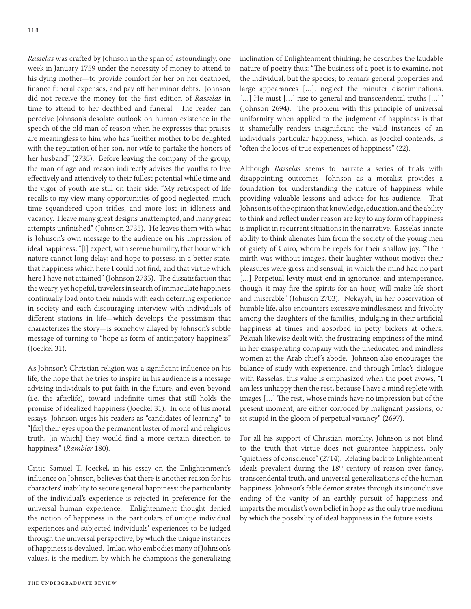*Rasselas* was crafted by Johnson in the span of, astoundingly, one week in January 1759 under the necessity of money to attend to his dying mother—to provide comfort for her on her deathbed, finance funeral expenses, and pay off her minor debts. Johnson did not receive the money for the first edition of *Rasselas* in time to attend to her deathbed and funeral. The reader can perceive Johnson's desolate outlook on human existence in the speech of the old man of reason when he expresses that praises are meaningless to him who has "neither mother to be delighted with the reputation of her son, nor wife to partake the honors of her husband" (2735). Before leaving the company of the group, the man of age and reason indirectly advises the youths to live effectively and attentively to their fullest potential while time and the vigor of youth are still on their side: "My retrospect of life recalls to my view many opportunities of good neglected, much time squandered upon trifles, and more lost in idleness and vacancy. I leave many great designs unattempted, and many great attempts unfinished" (Johnson 2735). He leaves them with what is Johnson's own message to the audience on his impression of ideal happiness: "[I] expect, with serene humility, that hour which nature cannot long delay; and hope to possess, in a better state, that happiness which here I could not find, and that virtue which here I have not attained" (Johnson 2735). The dissatisfaction that the weary, yet hopeful, travelers in search of immaculate happiness continually load onto their minds with each deterring experience in society and each discouraging interview with individuals of different stations in life—which develops the pessimism that characterizes the story—is somehow allayed by Johnson's subtle message of turning to "hope as form of anticipatory happiness" (Joeckel 31).

As Johnson's Christian religion was a significant influence on his life, the hope that he tries to inspire in his audience is a message advising individuals to put faith in the future, and even beyond (i.e. the afterlife), toward indefinite times that still holds the promise of idealized happiness (Joeckel 31). In one of his moral essays, Johnson urges his readers as "candidates of learning" to "[fix] their eyes upon the permanent luster of moral and religious truth, [in which] they would find a more certain direction to happiness" (*Rambler* 180).

Critic Samuel T. Joeckel, in his essay on the Enlightenment's influence on Johnson, believes that there is another reason for his characters' inability to secure general happiness: the particularity of the individual's experience is rejected in preference for the universal human experience. Enlightenment thought denied the notion of happiness in the particulars of unique individual experiences and subjected individuals' experiences to be judged through the universal perspective, by which the unique instances of happiness is devalued. Imlac, who embodies many of Johnson's values, is the medium by which he champions the generalizing inclination of Enlightenment thinking; he describes the laudable nature of poetry thus: "The business of a poet is to examine, not the individual, but the species; to remark general properties and large appearances […], neglect the minuter discriminations. [...] He must [...] rise to general and transcendental truths [...]" (Johnson 2694). The problem with this principle of universal uniformity when applied to the judgment of happiness is that it shamefully renders insignificant the valid instances of an individual's particular happiness, which, as Joeckel contends, is "often the locus of true experiences of happiness" (22).

Although *Rasselas* seems to narrate a series of trials with disappointing outcomes, Johnson as a moralist provides a foundation for understanding the nature of happiness while providing valuable lessons and advice for his audience. That Johnson is of the opinion that knowledge, education, and the ability to think and reflect under reason are key to any form of happiness is implicit in recurrent situations in the narrative. Rasselas' innate ability to think alienates him from the society of the young men of gaiety of Cairo, whom he repels for their shallow joy: "Their mirth was without images, their laughter without motive; their pleasures were gross and sensual, in which the mind had no part [...] Perpetual levity must end in ignorance; and intemperance, though it may fire the spirits for an hour, will make life short and miserable" (Johnson 2703). Nekayah, in her observation of humble life, also encounters excessive mindlessness and frivolity among the daughters of the families, indulging in their artificial happiness at times and absorbed in petty bickers at others. Pekuah likewise dealt with the frustrating emptiness of the mind in her exasperating company with the uneducated and mindless women at the Arab chief's abode. Johnson also encourages the balance of study with experience, and through Imlac's dialogue with Rasselas, this value is emphasized when the poet avows, "I am less unhappy then the rest, because I have a mind replete with images […] The rest, whose minds have no impression but of the present moment, are either corroded by malignant passions, or sit stupid in the gloom of perpetual vacancy" (2697).

For all his support of Christian morality, Johnson is not blind to the truth that virtue does not guarantee happiness, only "quietness of conscience" (2714). Relating back to Enlightenment ideals prevalent during the  $18<sup>th</sup>$  century of reason over fancy, transcendental truth, and universal generalizations of the human happiness, Johnson's fable demonstrates through its inconclusive ending of the vanity of an earthly pursuit of happiness and imparts the moralist's own belief in hope as the only true medium by which the possibility of ideal happiness in the future exists.